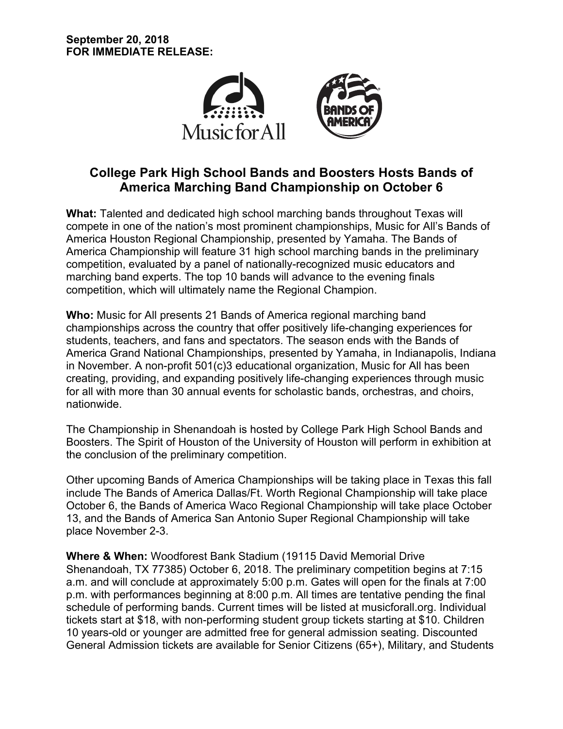

# **College Park High School Bands and Boosters Hosts Bands of America Marching Band Championship on October 6**

**What:** Talented and dedicated high school marching bands throughout Texas will compete in one of the nation's most prominent championships, Music for All's Bands of America Houston Regional Championship, presented by Yamaha. The Bands of America Championship will feature 31 high school marching bands in the preliminary competition, evaluated by a panel of nationally-recognized music educators and marching band experts. The top 10 bands will advance to the evening finals competition, which will ultimately name the Regional Champion.

**Who:** Music for All presents 21 Bands of America regional marching band championships across the country that offer positively life-changing experiences for students, teachers, and fans and spectators. The season ends with the Bands of America Grand National Championships, presented by Yamaha, in Indianapolis, Indiana in November. A non-profit 501(c)3 educational organization, Music for All has been creating, providing, and expanding positively life-changing experiences through music for all with more than 30 annual events for scholastic bands, orchestras, and choirs, nationwide.

The Championship in Shenandoah is hosted by College Park High School Bands and Boosters. The Spirit of Houston of the University of Houston will perform in exhibition at the conclusion of the preliminary competition.

Other upcoming Bands of America Championships will be taking place in Texas this fall include The Bands of America Dallas/Ft. Worth Regional Championship will take place October 6, the Bands of America Waco Regional Championship will take place October 13, and the Bands of America San Antonio Super Regional Championship will take place November 2-3.

**Where & When:** Woodforest Bank Stadium (19115 David Memorial Drive Shenandoah, TX 77385) October 6, 2018. The preliminary competition begins at 7:15 a.m. and will conclude at approximately 5:00 p.m. Gates will open for the finals at 7:00 p.m. with performances beginning at 8:00 p.m. All times are tentative pending the final schedule of performing bands. Current times will be listed at musicforall.org. Individual tickets start at \$18, with non-performing student group tickets starting at \$10. Children 10 years-old or younger are admitted free for general admission seating. Discounted General Admission tickets are available for Senior Citizens (65+), Military, and Students